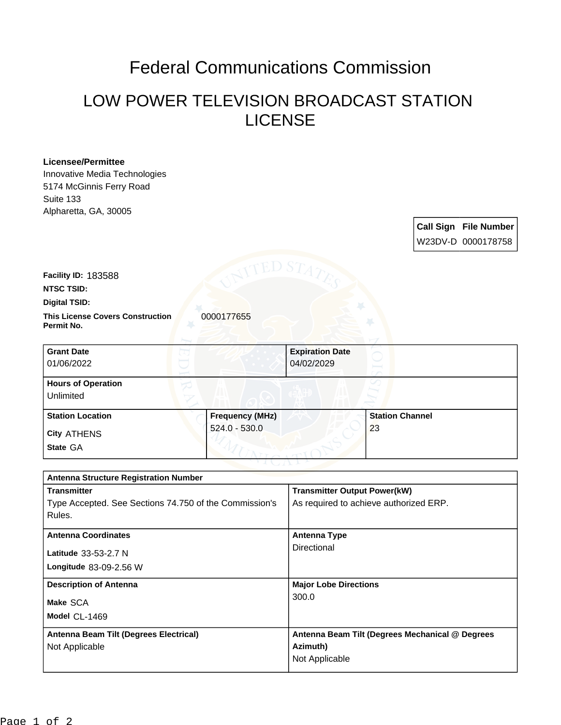## Federal Communications Commission

## LOW POWER TELEVISION BROADCAST STATION LICENSE

## **Licensee/Permittee**

Innovative Media Technologies 5174 McGinnis Ferry Road Suite 133 Alpharetta, GA, 30005

> **Call Sign File Number** W23DV-D 0000178758

**Facility ID:** 183588

**NTSC TSID:**

**Digital TSID:**

**This License Covers Construction 0000177655 Permit No.**

| <b>Grant Date</b><br>01/06/2022        | <b>Expiration Date</b><br>04/02/2029 |                        |
|----------------------------------------|--------------------------------------|------------------------|
| <b>Hours of Operation</b><br>Unlimited |                                      |                        |
| <b>Station Location</b>                | <b>Frequency (MHz)</b>               | <b>Station Channel</b> |
| <b>City ATHENS</b>                     | $524.0 - 530.0$                      | 23                     |
| State GA                               |                                      |                        |

| <b>Antenna Structure Registration Number</b>           |                                                 |  |  |
|--------------------------------------------------------|-------------------------------------------------|--|--|
| <b>Transmitter</b>                                     | <b>Transmitter Output Power(kW)</b>             |  |  |
| Type Accepted. See Sections 74.750 of the Commission's | As required to achieve authorized ERP.          |  |  |
| Rules.                                                 |                                                 |  |  |
|                                                        |                                                 |  |  |
| <b>Antenna Coordinates</b>                             | <b>Antenna Type</b>                             |  |  |
| Latitude 33-53-2.7 N                                   | Directional                                     |  |  |
| <b>Longitude 83-09-2.56 W</b>                          |                                                 |  |  |
| <b>Description of Antenna</b>                          | <b>Major Lobe Directions</b>                    |  |  |
| Make SCA                                               | 300.0                                           |  |  |
| Model CL-1469                                          |                                                 |  |  |
| Antenna Beam Tilt (Degrees Electrical)                 | Antenna Beam Tilt (Degrees Mechanical @ Degrees |  |  |
| Not Applicable                                         | Azimuth)                                        |  |  |
|                                                        | Not Applicable                                  |  |  |